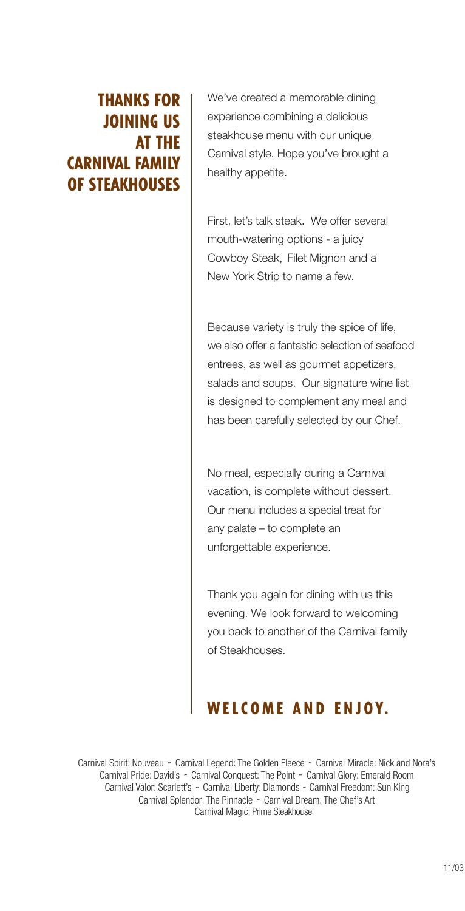# THANKS FOR JOINING US AT THE CARNIVAL FAMILY OF STEAKHOUSES

We've created a memorable dining experience combining a delicious steakhouse menu with our unique Carnival style. Hope you've brought a healthy appetite.

First, let's talk steak. We offer several mouth-watering options - a juicy Cowboy Steak, Filet Mignon and a New York Strip to name a few.

Because variety is truly the spice of life, we also offer a fantastic selection of seafood entrees, as well as gourmet appetizers, salads and soups. Our signature wine list is designed to complement any meal and has been carefully selected by our Chef.

No meal, especially during a Carnival vacation, is complete without dessert. Our menu includes a special treat for any palate – to complete an unforgettable experience.

Thank you again for dining with us this evening. We look forward to welcoming you back to another of the Carnival family of Steakhouses.

# WELCOME AND ENJOY.

Carnival Spirit: Nouveau ~ Carnival Legend: The Golden Fleece ~ Carnival Miracle: Nick and Nora's Carnival Pride: David's ~ Carnival Conquest: The Point ~ Carnival Glory: Emerald Room Carnival Valor: Scarlett's ~ Carnival Liberty: Diamonds ~ Carnival Freedom: Sun King Carnival Splendor: The Pinnacle ~ Carnival Dream: The Chef's Art Carnival Magic: Prime Steakhouse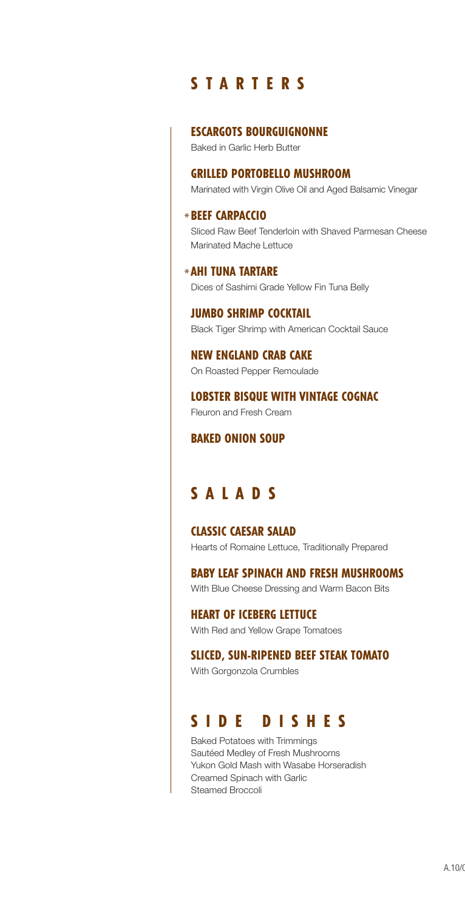# S T A R T E R S

#### ESCARGOTS BOURGUIGNONNE

Baked in Garlic Herb Butter

#### GRILLED PORTOBELLO MUSHROOM

Marinated with Virgin Olive Oil and Aged Balsamic Vinegar

# BEEF CARPACCIO \*

Sliced Raw Beef Tenderloin with Shaved Parmesan Cheese Marinated Mache Lettuce

# AHI TUNA TARTARE \*

Dices of Sashimi Grade Yellow Fin Tuna Belly

#### JUMBO SHRIMP COCKTAIL Black Tiger Shrimp with American Cocktail Sauce

## NEW ENGLAND CRAB CAKE

On Roasted Pepper Remoulade

# LOBSTER BISQUE WITH VINTAGE COGNAC

Fleuron and Fresh Cream

#### BAKED ONION SOUP

# S ALA D S

# CLASSIC CAESAR SALAD

Hearts of Romaine Lettuce, Traditionally Prepared

## BABY LEAF SPINACH AND FRESH MUSHROOMS

With Blue Cheese Dressing and Warm Bacon Bits

# HEART OF ICEBERG LETTUCE

With Red and Yellow Grape Tomatoes

#### SLICED, SUN-RIPENED BEEF STEAK TOMATO

With Gorgonzola Crumbles

# S I D E D ISH E S

Baked Potatoes with Trimmings Sautéed Medley of Fresh Mushrooms Yukon Gold Mash with Wasabe Horseradish Creamed Spinach with Garlic Steamed Broccoli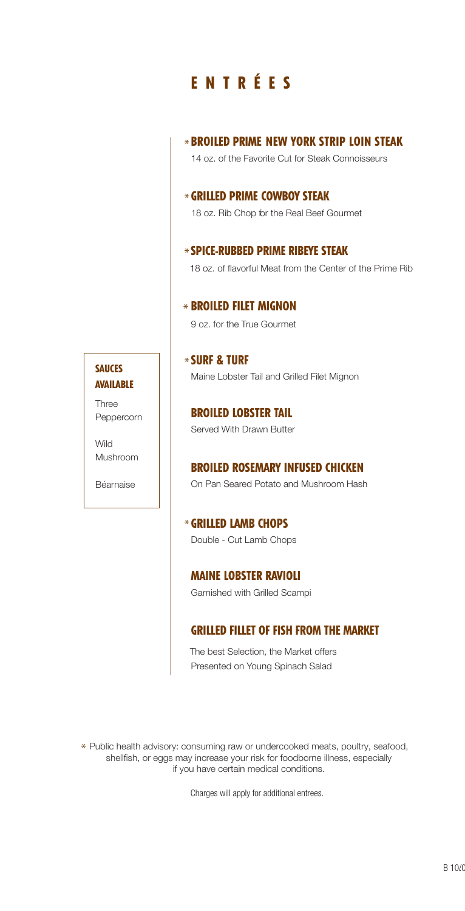# E N T R É E S

# BROILED PRIME NEW YORK STRIP LOIN STEAK \*

14 oz. of the Favorite Cut for Steak Connoisseurs

# GRILLED PRIME COWBOY STEAK \*

18 oz. Rib Chop for the Real Beef Gourmet

# SPICE-RUBBED PRIME RIBEYE STEAK \*

18 oz. of flavorful Meat from the Center of the Prime Rib

# BROILED FILET MIGNON \*

9 oz. for the True Gourmet

## SURF & TURF \* Maine Lobster Tail and Grilled Filet Mignon

BROILED LOBSTER TAIL Served With Drawn Butter

## BROILED ROSEMARY INFUSED CHICKEN

On Pan Seared Potato and Mushroom Hash

GRILLED LAMB CHOPS \* Double - Cut Lamb Chops

MAINE LOBSTER RAVIOLI

Garnished with Grilled Scampi

## GRILLED FILLET OF FISH FROM THE MARKET

Presented on Young Spinach Salad The best Selection, the Market offers

\* Public health advisory: consuming raw or undercooked meats, poultry, seafood, shellfish, or eggs may increase your risk for foodborne illness, especially if you have certain medical conditions.

Charges will apply for additional entrees.

## **SAUCES** AVAILABLE

Three Peppercorn

Wild Mushroom

Béarnaise